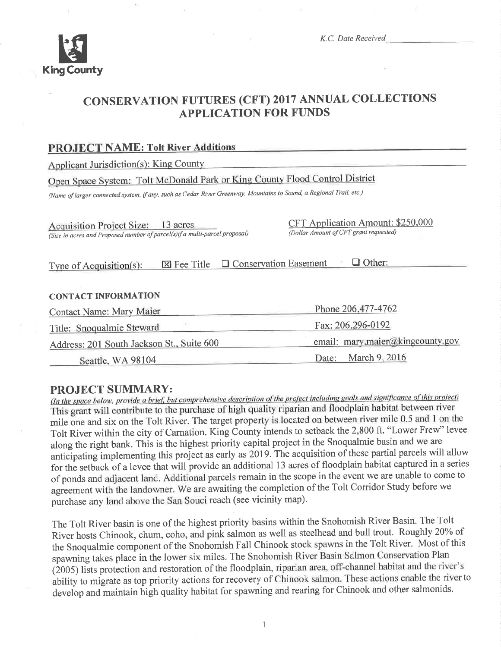

K.C. Date Received

# CONSERVATION FUTURES (CFT) 2017 ANNUAL COLLECTIONS APPLICATION FOR FUNDS

#### PROJECT NAME: Tolt River Additions

Applicant Jurisdiction(s): King County

# Open Space System: Tolt McDonald Park or King County Flood Control District

(Name of larger connected system, if any, such as Cedar River Greenway, Mountains to Sound, a Regional Trail, etc.)

Acquisition Project Size: 13 acres (Size in acres and Proposed number of parcel(s)if a multi-parcel proposal) CFT Apolication Amount: \$250.000 (Dollar Amount ofCFT granl requested)

Type of Acquisition(s):  $\boxtimes$  Fee Title  $\Box$  Conservation Easement  $\Box$  Other:

#### CONTACT INFORMATION

| <b>Contact Name: Mary Maier</b>                | Phone 206.477-4762               |  |
|------------------------------------------------|----------------------------------|--|
| Fax: 206.296-0192<br>Title: Snoqualmie Steward |                                  |  |
| Address: 201 South Jackson St., Suite 600      | email: mary.maier@kingcounty.gov |  |
| Seattle, WA 98104                              | Date: March 9, 2016              |  |

**PROJECT SUMMARY:**<br>(In the space below, provide a brief, but comprehensive description of the project including goals and significance of this project) This grant will contribute to the purchase of high quality riparian and floodplain habitat between river mile one and six on the Tolt River. The target property is located on between river mile 0.5 and 1 on the Tolt River within the city of Carnation. King County intends to setback the 2,800 ft. "Lower Fred' levee along the right bank. This is the highest priority capital project in the Snoqualmie basin and we are anticipating implementing this project as early as 2019. The acquisition of these partial parcels will allow for the setback of a levee that will provide an additional 13 acres of floodplain habitat captured in a series of ponds and adjacent land. Additional parcels remain in the scope in the event we are unable to come to agreement with the landowner. We are awaiting the completion of the Tolt Corridor Study before we purchase any land above the San Souci reach (see vicinity map).

The Tott River basin is one of the highest priority basins within the Snohomish River Basin. The Tolt River hosts Chinook, chum, coho, and pink salmon as well as steelhead and bull trout. Roughly 20% of the Snoqualmie component of the Snohomish Fall Chinook stock spawns in the Tolt River. Most of this spawning takes place in the lower six miles. The Snohomish River Basin Salmon Conservation Plan (2005) lists protection and restoration of the floodplain, riparian area, off-channel habitat and the river's ability to migrate as top priority actions for recovery of Chinook salmon. These actions enable the river to develop and maintain high quality habitat for spawning and rearing for Chinook and other salmonids.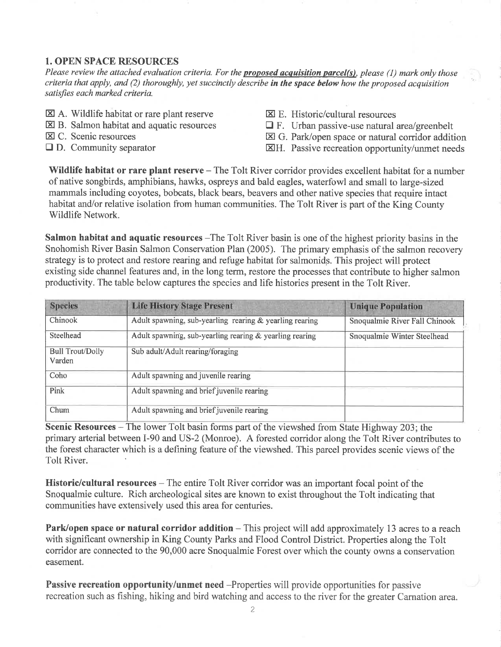#### 1. OPEN SPACE RESOURCES

Please review the attached evaluation criteria. For the **proposed acquisition parcel(s)**, please (1) mark only those criteria that apply, and (2) thoroughly, yet succinctly describe in the space below how the proposed acquisition satisfies each marked criteria.

- $\boxtimes$  A. Wildlife habitat or rare plant reserve
- $\boxtimes$  B. Salmon habitat and aquatic resources
- E C. Scenic resources
- $\Box$  D. Community separator
- EI E. Historic/cultural resources
- $\Box$  F. Urban passive-use natural area/greenbelt
- El G. Park/open space or natural corridor addition
- EH. Passive recreation opportunity/unmet needs

Wildlife habitat or rare plant reserve - The Tolt River corridor provides excellent habitat for a number of native songbirds, amphibians, hawks, ospreys and bald eagles, waterfowl and small to large-sized mammals including coyotes, bobcats, black bears, beavers and other native species that require intact habitat and/or relative isolation from human communities. The Tolt River is part of the King County Wildlife Network.

Salmon habitat and aquatic resources -The Tolt River basin is one of the highest priority basins in the Snohomish River Basin Salmon Conservation Plan (2005). The primary emphasis of the salmon recovery strategy is to protect and restore rearing and refuge habitat for salmonids. This project will protect existing side channel features and, in the long term, restore the processes that contribute to higher salmon productivity. The table below captures the species and life histories present in the Tolt River.

| <b>Species</b>                    | <b>Life History Stage Present</b>                       | <b>Unique Population</b>      |
|-----------------------------------|---------------------------------------------------------|-------------------------------|
| Chinook                           | Adult spawning, sub-yearling rearing & yearling rearing | Snoqualmie River Fall Chinook |
| Steelhead                         | Adult spawning, sub-yearling rearing & yearling rearing | Snoqualmie Winter Steelhead   |
| <b>Bull Trout/Dolly</b><br>Varden | Sub adult/Adult rearing/foraging                        |                               |
| Coho                              | Adult spawning and juvenile rearing                     |                               |
| Pink                              | Adult spawning and brief juvenile rearing               |                               |
| Chum                              | Adult spawning and brief juvenile rearing               |                               |

Scenic Resources – The lower Tolt basin forms part of the viewshed from State Highway 203; the primary arterial between I-90 and US-2 (Monroe). A forested corridor along the Tolt River contributes to the forest character which is a defining feature of the viewshed. This parcel provides scenic views of the Tolt River.

Historic/cultural resources – The entire Tolt River corridor was an important focal point of the Snoqualmie culture. Rich archeological sites are known to exist throughout the Tolt indicating that communities have extensively used this area for centuries.

Park/open space or natural corridor addition – This project will add approximately 13 acres to a reach with significant ownership in King County Parks and Flood Control District. Properties along the Tolt corridor are connected to the 90,000 acre Snoqualmie Forest over which the county owns a conservation easement.

Passive recreation opportunity/unmet need -Properties will provide opportunities for passive recreation such as fishing, hiking and bird watching and access to the river for the greater Carnation area.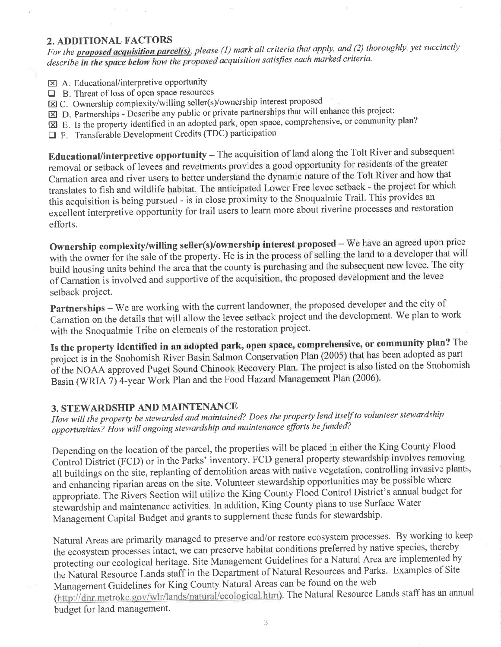#### 2. ADDITIONAL FACTORS

For the **proposed acquisition parcel(s)**, please (1) mark all criteria that apply, and (2) thoroughly, yet succinctly describe in the space below how the proposed acquisition satisfies each marked criteria.

- $\boxtimes$  A. Educational/interpretive opportunity
- $\Box$  B. Threat of loss of open space resources
- $\boxtimes$  C. Ownership complexity/willing seller(s)/ownership interest proposed
- $\boxtimes$  D. Partnerships Describe any public or private partnerships that will enhance this project:
- $\boxtimes$  E. Is the property identified in an adopted park, open space, comprehensive, or community plan?
- $\Box$  F. Transferable Development Credits (TDC) participation

Educational/interpretive opportunity - The acquisition of land along the Tolt River and subsequent removal or setback of levees and revetments provides a good opportunity for residents of the greater Carnation area and river users to better understand the dynamic nature of the Tolt River and how that translates to fish and wildlife habitat. The anticipated Lower Free levee setback - the project for which this acquisition is being pursued - is in close proximity to the Snoqualmie Trail. This provides an excellent interpretive opportunity for trail users to learn more about riverine processes and restoration efforts.

Ownership complexity/willing seller(s)/ownership interest proposed - We have an agreed upon price with the owner for the sale of the property. He is in the process of selling the land to a developer that will build housing units behind the area that the county is purchasing and the subsequent new levee. The city of Carnation is involved and supportive of the acquisition, the proposed development and the levee setback project.

Partnerships - We are working with the current landowner, the proposed developer and the city of Carnation on the details that will allow the levee setback project and the development. We plan to work with the Snoqualmie Tribe on elements of the restoration project.

Is the property identified in an adopted park, open space, comprehensive, or community plan? The project is in the Snohomish River Basin Salmon Conservation Plan (2005) that has been adopted as part of the NOAA approved Puget Sound Chinook Recovery Plan. The project is also listed on the Snohomish Basin (WRIA 7) 4-year Work Plan and the Food Hazard Management Plan (2006).

### 3. STEWARDSHIP AND MAINTENANCE

How will the property be stewarded and maintained? Does the property lend itself to volunteer stewardship opportunities? How will ongoing stewardship and maintenance efforts be funded?

Depending on the location of the parcel, the properties will be placed in either the King County Flood Control District (FCD) or in the Parks' inventory. FCD general property stewardship involves removing all buildings on the site, replanting of demolition areas with native vegetation, controlling invasive plants, and enhancing riparian areas on the site. Volunteer stewardship opportunities may be possible where appropriate. The Rivers Section will utilize the King County Flood Control District's annual budget for stewardship and maintenance activities. In addition, King County plans to use Surface Water Management Capital Budget and grants to supplement these funds for stewardship.

Natural Areas are primarily managed to preserve and/or restore ecosystem processes. By working to keep the ecosystem processes intact, we can preserve habitat conditions preferred by native species, thereby protecting our ecological heritage. Site Management Guidelines for a Natural Area are implemented by the Natural Resource Lands staff in the Department of Natural Resources and Parks. Examples of Site Management Guidelines for King County Natural Areas can be found on the web (http://dnr.metrokc.gov/wlr/lands/natural/ecological.htm). The Natural Resource Lands staff has an annual budget for land management.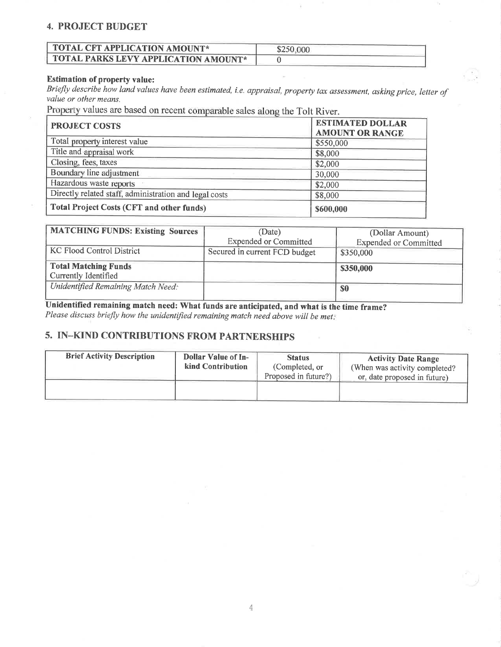#### 4. PROJECT BUDGET

| $\Box$ TOTAL CFT APPLICATION AMOUNT* | \$250,000 |
|--------------------------------------|-----------|
| TOTAL PARKS LEVY APPLICATION AMOUNT* |           |

#### Estimation of property value:

Briefly describe how land values have been estimated, i.e. appraisal, property tax assessment, asking price, Ietter of value or other means.

Property values are based on recent comparable sales along the Tolt River.

| <b>PROJECT COSTS</b>                                   | <b>ESTIMATED DOLLAR</b><br><b>AMOUNT OR RANGE</b> |  |
|--------------------------------------------------------|---------------------------------------------------|--|
| Total property interest value                          | \$550,000                                         |  |
| Title and appraisal work                               | \$8,000                                           |  |
| Closing, fees, taxes                                   | \$2,000                                           |  |
| Boundary line adjustment                               | 30,000                                            |  |
| Hazardous waste reports                                | \$2,000                                           |  |
| Directly related staff, administration and legal costs | \$8,000                                           |  |
| <b>Total Project Costs (CFT and other funds)</b>       | \$600,000                                         |  |

| <b>MATCHING FUNDS: Existing Sources</b>             | (Date)                        | (Dollar Amount)              |
|-----------------------------------------------------|-------------------------------|------------------------------|
|                                                     | <b>Expended or Committed</b>  | <b>Expended or Committed</b> |
| <b>KC Flood Control District</b>                    | Secured in current FCD budget | \$350,000                    |
| <b>Total Matching Funds</b><br>Currently Identified |                               | \$350,000                    |
| Unidentified Remaining Match Need:                  |                               | <b>SO</b>                    |

Unidentified remaining match need: What funds are anticipated, and what is the time frame? Please discuss briefly how the unidentified remaining match need above will be met.

## 5. IN-KIND CONTRIBUTIONS FROM PARTNERSHIPS

| <b>Brief Activity Description</b> | <b>Dollar Value of In-</b><br>kind Contribution | <b>Status</b><br>(Completed, or<br>Proposed in future?) | <b>Activity Date Range</b><br>(When was activity completed?<br>or, date proposed in future) |
|-----------------------------------|-------------------------------------------------|---------------------------------------------------------|---------------------------------------------------------------------------------------------|
|                                   |                                                 |                                                         |                                                                                             |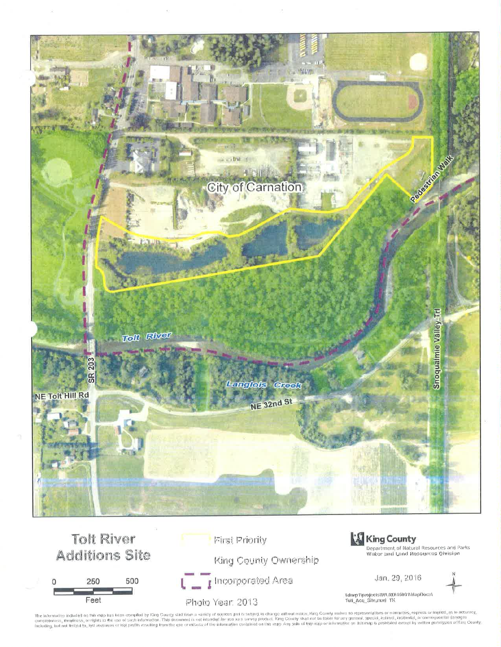



The informalion included on this map has been compiled by King County slaft from a variety of sources and is subject to change without natics. King County makes no representations or warranties, express of implied, as to a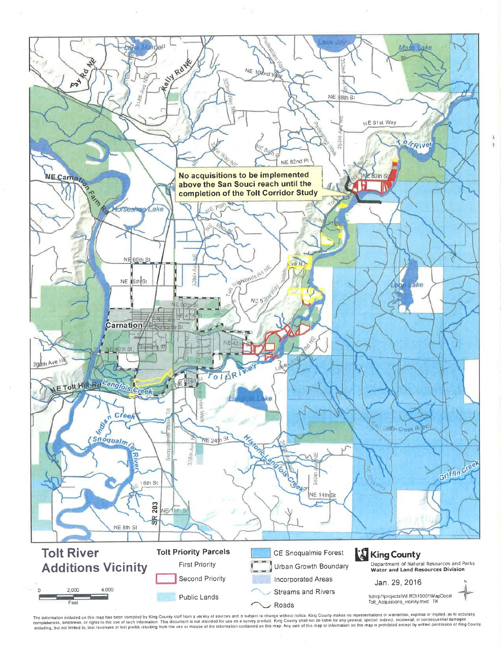

The information included on this map has been compiled by King County staff from a variety of sources and is subject to change without notice. King County makes no representations or warranties, express or implied, as to a